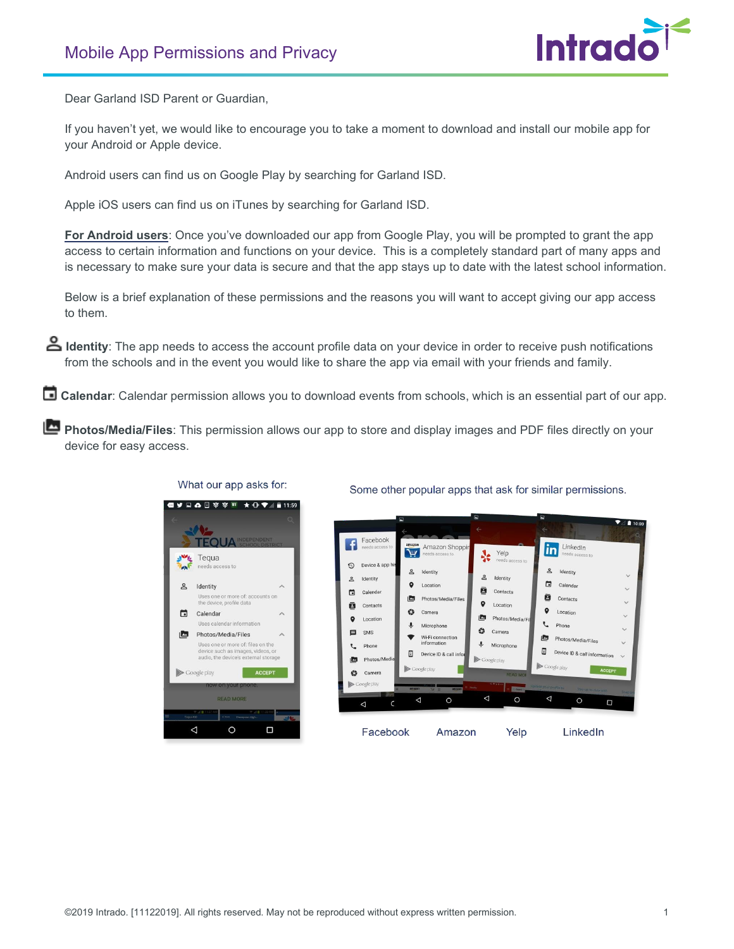

Dear Garland ISD Parent or Guardian,

If you haven't yet, we would like to encourage you to take a moment to download and install our mobile app for your Android or Apple device.

Android users can find us on Google Play by searching for Garland ISD.

Apple iOS users can find us on iTunes by searching for Garland ISD.

**For Android users**: Once you've downloaded our app from Google Play, you will be prompted to grant the app access to certain information and functions on your device. This is a completely standard part of many apps and is necessary to make sure your data is secure and that the app stays up to date with the latest school information.

Below is a brief explanation of these permissions and the reasons you will want to accept giving our app access to them.

 **Identity**: The app needs to access the account profile data on your device in order to receive push notifications from the schools and in the event you would like to share the app via email with your friends and family.

**Calendar**: Calendar permission allows you to download events from schools, which is an essential part of our app.

**Photos/Media/Files**: This permission allows our app to store and display images and PDF files directly on your device for easy access.



What our app asks for:

Some other popular apps that ask for similar permissions.